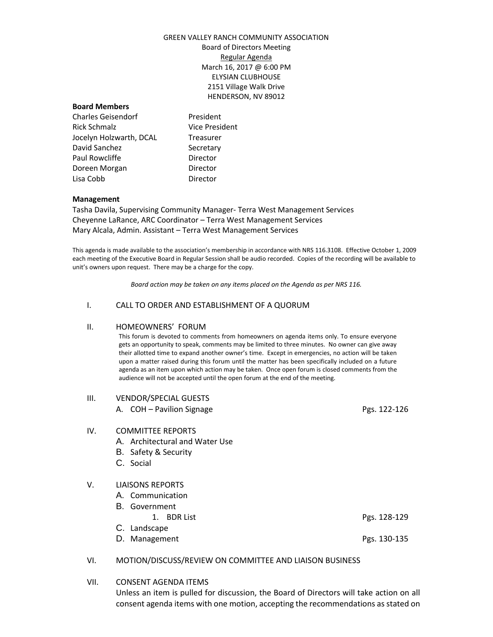### GREEN VALLEY RANCH COMMUNITY ASSOCIATION Board of Directors Meeting Regular Agenda March 16, 2017 @ 6:00 PM ELYSIAN CLUBHOUSE 2151 Village Walk Drive HENDERSON, NV 89012

#### **Board Members**

Charles Geisendorf **President** Rick Schmalz Vice President Jocelyn Holzwarth, DCAL Treasurer David Sanchez Secretary Paul Rowcliffe **Director** Doreen Morgan Director Lisa Cobb Director

#### **Management**

Tasha Davila, Supervising Community Manager- Terra West Management Services Cheyenne LaRance, ARC Coordinator – Terra West Management Services Mary Alcala, Admin. Assistant – Terra West Management Services

This agenda is made available to the association's membership in accordance with NRS 116.3108. Effective October 1, 2009 each meeting of the Executive Board in Regular Session shall be audio recorded. Copies of the recording will be available to unit's owners upon request. There may be a charge for the copy.

*Board action may be taken on any items placed on the Agenda as per NRS 116.*

#### I. CALL TO ORDER AND ESTABLISHMENT OF A QUORUM

#### II. HOMEOWNERS' FORUM

This forum is devoted to comments from homeowners on agenda items only. To ensure everyone gets an opportunity to speak, comments may be limited to three minutes. No owner can give away their allotted time to expand another owner's time. Except in emergencies, no action will be taken upon a matter raised during this forum until the matter has been specifically included on a future agenda as an item upon which action may be taken. Once open forum is closed comments from the audience will not be accepted until the open forum at the end of the meeting.

#### III. VENDOR/SPECIAL GUESTS

A. COH – Pavilion Signage Pgs. 122-126

#### IV. COMMITTEE REPORTS

- A. Architectural and Water Use
- B. Safety & Security
- C. Social

#### V. LIAISONS REPORTS

- A. Communication
- B. Government
	- 1. BDR List Pgs. 128-129
- C. Landscape
- D. Management Pgs. 130-135

#### VI. MOTION/DISCUSS/REVIEW ON COMMITTEE AND LIAISON BUSINESS

VII. CONSENT AGENDA ITEMS

Unless an item is pulled for discussion, the Board of Directors will take action on all consent agenda items with one motion, accepting the recommendations as stated on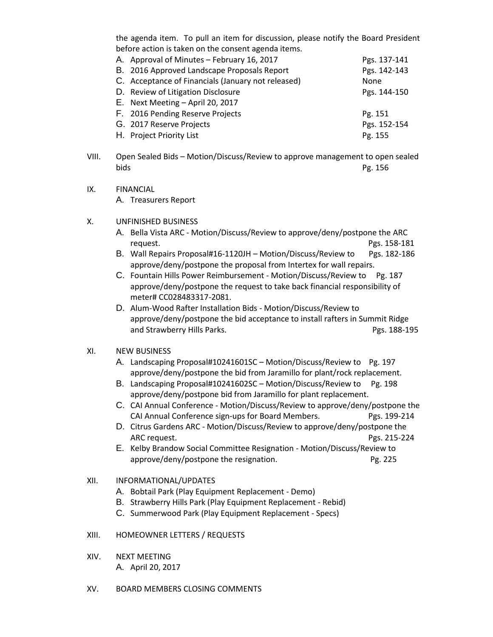the agenda item. To pull an item for discussion, please notify the Board President before action is taken on the consent agenda items.

| A. Approval of Minutes - February 16, 2017         | Pgs. 137-141 |
|----------------------------------------------------|--------------|
| B. 2016 Approved Landscape Proposals Report        | Pgs. 142-143 |
| C. Acceptance of Financials (January not released) | <b>None</b>  |
| D. Review of Litigation Disclosure                 | Pgs. 144-150 |
| E. Next Meeting - April 20, 2017                   |              |
| F. 2016 Pending Reserve Projects                   | Pg. 151      |
| G. 2017 Reserve Projects                           | Pgs. 152-154 |
| H. Project Priority List                           | Pg. 155      |

- VIII. Open Sealed Bids Motion/Discuss/Review to approve management to open sealed bids Pg. 156
- IX. FINANCIAL

A. Treasurers Report

- X. UNFINISHED BUSINESS
	- A. Bella Vista ARC Motion/Discuss/Review to approve/deny/postpone the ARC request. Pgs. 158-181
	- B. Wall Repairs Proposal#16-1120JH Motion/Discuss/Review to Pgs. 182-186 approve/deny/postpone the proposal from Intertex for wall repairs.
	- C. Fountain Hills Power Reimbursement Motion/Discuss/Review to Pg. 187 approve/deny/postpone the request to take back financial responsibility of meter# CC028483317-2081.
	- D. Alum-Wood Rafter Installation Bids Motion/Discuss/Review to approve/deny/postpone the bid acceptance to install rafters in Summit Ridge and Strawberry Hills Parks. Pgs. 188-195

# XI. NEW BUSINESS

- A. Landscaping Proposal#10241601SC Motion/Discuss/Review to Pg. 197 approve/deny/postpone the bid from Jaramillo for plant/rock replacement.
- B. Landscaping Proposal#10241602SC Motion/Discuss/Review to Pg. 198 approve/deny/postpone bid from Jaramillo for plant replacement.
- C. CAI Annual Conference Motion/Discuss/Review to approve/deny/postpone the CAI Annual Conference sign-ups for Board Members. Pgs. 199-214
- D. Citrus Gardens ARC Motion/Discuss/Review to approve/deny/postpone the ARC request. **Pgs. 215-224**
- E. Kelby Brandow Social Committee Resignation Motion/Discuss/Review to approve/deny/postpone the resignation. The restriction of the Pg. 225
- XII. INFORMATIONAL/UPDATES
	- A. Bobtail Park (Play Equipment Replacement Demo)
	- B. Strawberry Hills Park (Play Equipment Replacement Rebid)
	- C. Summerwood Park (Play Equipment Replacement Specs)

## XIII. HOMEOWNER LETTERS / REQUESTS

- XIV. NEXT MEETING A. April 20, 2017
- XV. BOARD MEMBERS CLOSING COMMENTS